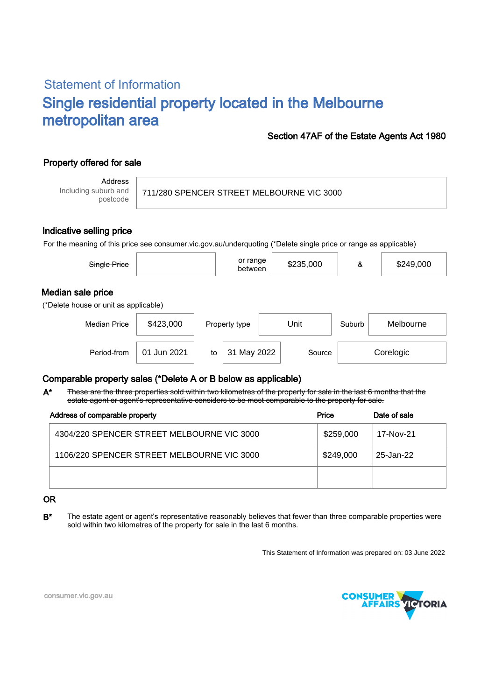# Statement of Information Single residential property located in the Melbourne metropolitan area

## Section 47AF of the Estate Agents Act 1980

# Property offered for sale

Address Including suburb and postcode

711/280 SPENCER STREET MELBOURNE VIC 3000

#### Indicative selling price

For the meaning of this price see consumer.vic.gov.au/underquoting (\*Delete single price or range as applicable)

| Single Price                                               |             |    | or range<br>between |      | \$235,000 | &      | \$249,000 |  |
|------------------------------------------------------------|-------------|----|---------------------|------|-----------|--------|-----------|--|
| Median sale price<br>(*Delete house or unit as applicable) |             |    |                     |      |           |        |           |  |
| <b>Median Price</b>                                        | \$423,000   |    | Property type       | Unit |           | Suburb | Melbourne |  |
| Period-from                                                | 01 Jun 2021 | to | 31 May 2022         |      | Source    |        | Corelogic |  |

## Comparable property sales (\*Delete A or B below as applicable)

These are the three properties sold within two kilometres of the property for sale in the last 6 months that the estate agent or agent's representative considers to be most comparable to the property for sale. A\*

| Address of comparable property             | Price     | Date of sale |  |
|--------------------------------------------|-----------|--------------|--|
| 4304/220 SPENCER STREET MELBOURNE VIC 3000 | \$259,000 | 17-Nov-21    |  |
| 1106/220 SPENCER STREET MELBOURNE VIC 3000 | \$249,000 | 25-Jan-22    |  |
|                                            |           |              |  |

#### OR

B<sup>\*</sup> The estate agent or agent's representative reasonably believes that fewer than three comparable properties were sold within two kilometres of the property for sale in the last 6 months.

This Statement of Information was prepared on: 03 June 2022



consumer.vic.gov.au